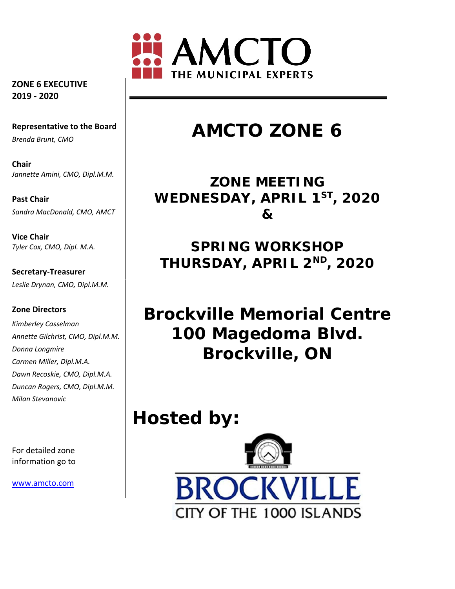

**ZONE 6 EXECUTIVE 2019 ‐ 2020**

## **Representative to the Board**

*Brenda Brunt, CMO*

**Chair** *Jannette Amini, CMO, Dipl.M.M.*

**Past Chair** *Sandra MacDonald, CMO, AMCT*

**Vice Chair** *Tyler Cox, CMO, Dipl. M.A.*

**Secretary‐Treasurer** *Leslie Drynan, CMO, Dipl.M.M.*

#### **Zone Directors**

*Kimberley Casselman Annette Gilchrist, CMO, Dipl.M.M. Donna Longmire Carmen Miller, Dipl.M.A. Dawn Recoskie, CMO, Dipl.M.A. Duncan Rogers, CMO, Dipl.M.M. Milan Stevanovic*

For detailed zone information go to

www.amcto.com

# **AMCTO ZONE 6**

**ZONE MEETING WEDNESDAY, APRIL 1ST, 2020 &** 

**SPRING WORKSHOP THURSDAY, APRIL 2ND, 2020** 

**Brockville Memorial Centre 100 Magedoma Blvd. Brockville, ON** 

## **Hosted by:**

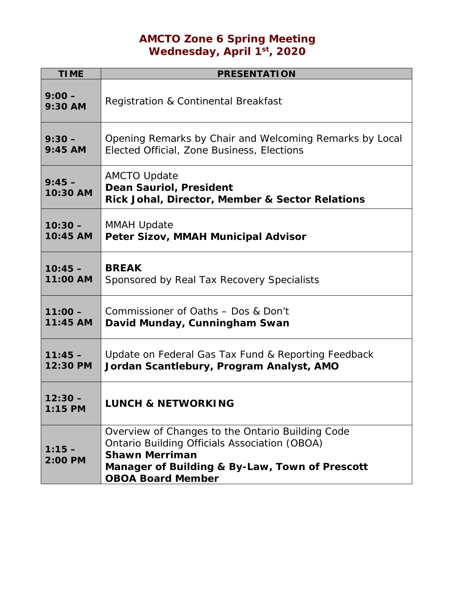### **AMCTO Zone 6 Spring Meeting Wednesday, April 1st, 2020**

| <b>TIME</b>            | <b>PRESENTATION</b>                                                                                                                                                                                      |
|------------------------|----------------------------------------------------------------------------------------------------------------------------------------------------------------------------------------------------------|
| $9:00 -$<br>9:30 AM    | Registration & Continental Breakfast                                                                                                                                                                     |
| $9:30 -$               | Opening Remarks by Chair and Welcoming Remarks by Local                                                                                                                                                  |
| $9:45$ AM              | Elected Official, Zone Business, Elections                                                                                                                                                               |
| $9:45 -$<br>10:30 AM   | <b>AMCTO Update</b><br><b>Dean Sauriol, President</b><br><b>Rick Johal, Director, Member &amp; Sector Relations</b>                                                                                      |
| $10:30 -$              | <b>MMAH Update</b>                                                                                                                                                                                       |
| 10:45 AM               | <b>Peter Sizov, MMAH Municipal Advisor</b>                                                                                                                                                               |
| $10:45 -$              | <b>BREAK</b>                                                                                                                                                                                             |
| 11:00 AM               | Sponsored by Real Tax Recovery Specialists                                                                                                                                                               |
| $11:00 -$              | Commissioner of Oaths - Dos & Don't                                                                                                                                                                      |
| 11:45 AM               | David Munday, Cunningham Swan                                                                                                                                                                            |
| $11:45 -$              | Update on Federal Gas Tax Fund & Reporting Feedback                                                                                                                                                      |
| 12:30 PM               | Jordan Scantlebury, Program Analyst, AMO                                                                                                                                                                 |
| $12:30 -$<br>$1:15$ PM | <b>LUNCH &amp; NETWORKING</b>                                                                                                                                                                            |
| $1:15 -$<br>2:00 PM    | Overview of Changes to the Ontario Building Code<br>Ontario Building Officials Association (OBOA)<br><b>Shawn Merriman</b><br>Manager of Building & By-Law, Town of Prescott<br><b>OBOA Board Member</b> |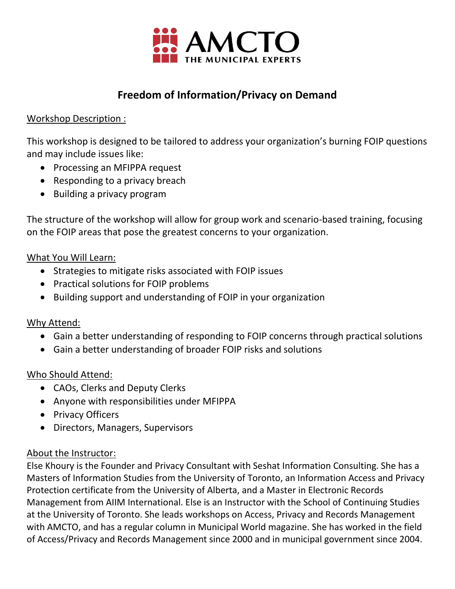

### **Freedom of Information/Privacy on Demand**

#### Workshop Description :

This workshop is designed to be tailored to address your organization's burning FOIP questions and may include issues like:

- Processing an MFIPPA request
- Responding to a privacy breach
- Building a privacy program

The structure of the workshop will allow for group work and scenario-based training, focusing on the FOIP areas that pose the greatest concerns to your organization.

#### What You Will Learn:

- Strategies to mitigate risks associated with FOIP issues
- Practical solutions for FOIP problems
- Building support and understanding of FOIP in your organization

#### Why Attend:

- Gain a better understanding of responding to FOIP concerns through practical solutions
- Gain a better understanding of broader FOIP risks and solutions

#### Who Should Attend:

- CAOs, Clerks and Deputy Clerks
- Anyone with responsibilities under MFIPPA
- Privacy Officers
- Directors, Managers, Supervisors

#### About the Instructor:

Else Khoury is the Founder and Privacy Consultant with Seshat Information Consulting. She has a Masters of Information Studies from the University of Toronto, an Information Access and Privacy Protection certificate from the University of Alberta, and a Master in Electronic Records Management from AIIM International. Else is an Instructor with the School of Continuing Studies at the University of Toronto. She leads workshops on Access, Privacy and Records Management with AMCTO, and has a regular column in Municipal World magazine. She has worked in the field of Access/Privacy and Records Management since 2000 and in municipal government since 2004.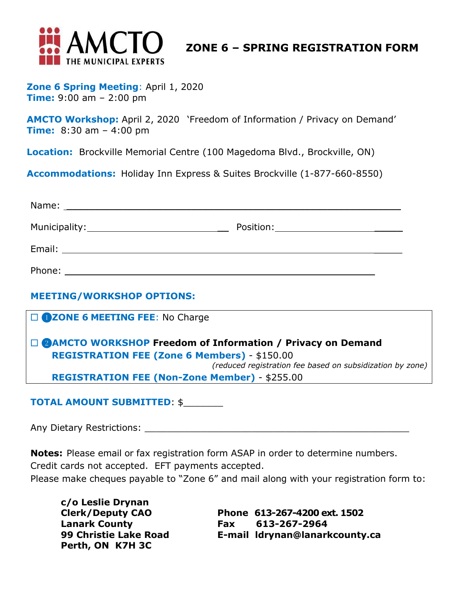

**Zone 6 Spring Meeting**: April 1, 2020 **Time:** 9:00 am – 2:00 pm

**AMCTO Workshop:** April 2, 2020 'Freedom of Information / Privacy on Demand' **Time:** 8:30 am – 4:00 pm

**Location:** Brockville Memorial Centre (100 Magedoma Blvd., Brockville, ON)

**Accommodations:** Holiday Inn Express & Suites Brockville (1-877-660-8550)

| Municipality: 1997                                                                                                                                                                                                             | Position:________________________________ |
|--------------------------------------------------------------------------------------------------------------------------------------------------------------------------------------------------------------------------------|-------------------------------------------|
| Email: Email: All and the state of the state of the state of the state of the state of the state of the state of the state of the state of the state of the state of the state of the state of the state of the state of the s |                                           |
| Phone:                                                                                                                                                                                                                         |                                           |

#### **MEETING/WORKSHOP OPTIONS:**

| <b>DE OZONE 6 MEETING FEE: No Charge</b>                             |  |  |  |
|----------------------------------------------------------------------|--|--|--|
| <b>DE PAMCTO WORKSHOP Freedom of Information / Privacy on Demand</b> |  |  |  |
| <b>REGISTRATION FEE (Zone 6 Members) - \$150.00</b>                  |  |  |  |
| (reduced registration fee based on subsidization by zone)            |  |  |  |
| <b>REGISTRATION FEE (Non-Zone Member) - \$255.00</b>                 |  |  |  |
|                                                                      |  |  |  |

#### **TOTAL AMOUNT SUBMITTED**: \$\_\_\_\_\_\_\_

Any Dietary Restrictions: \_\_\_\_\_\_\_\_\_\_\_\_\_\_\_\_\_\_\_\_\_\_\_\_\_\_\_\_\_\_\_\_\_\_\_\_\_\_\_\_\_\_\_\_\_\_\_

**Notes:** Please email or fax registration form ASAP in order to determine numbers. Credit cards not accepted. EFT payments accepted.

Please make cheques payable to "Zone 6" and mail along with your registration form to:

| c/o Leslie Drynan       |     |                                |
|-------------------------|-----|--------------------------------|
| <b>Clerk/Deputy CAO</b> |     | Phone 613-267-4200 ext. 1502   |
| <b>Lanark County</b>    | Fax | 613-267-2964                   |
| 99 Christie Lake Road   |     | E-mail Idrynan@lanarkcounty.ca |
| Perth, ON K7H 3C        |     |                                |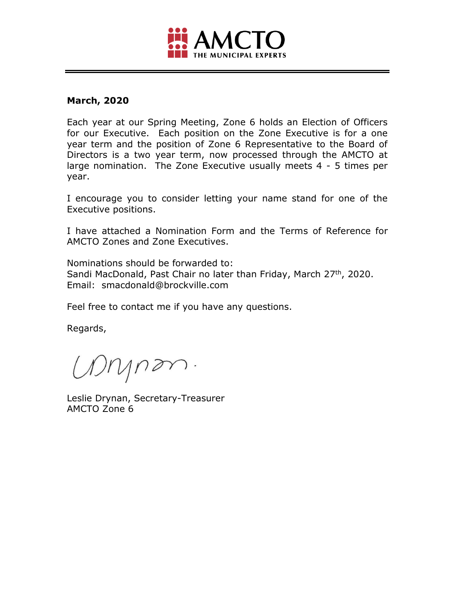

#### **March, 2020**

Each year at our Spring Meeting, Zone 6 holds an Election of Officers for our Executive. Each position on the Zone Executive is for a one year term and the position of Zone 6 Representative to the Board of Directors is a two year term, now processed through the AMCTO at large nomination. The Zone Executive usually meets 4 - 5 times per year.

I encourage you to consider letting your name stand for one of the Executive positions.

I have attached a Nomination Form and the Terms of Reference for AMCTO Zones and Zone Executives.

Nominations should be forwarded to: Sandi MacDonald, Past Chair no later than Friday, March 27<sup>th</sup>, 2020. Email: smacdonald@brockville.com

Feel free to contact me if you have any questions.

Regards,

Whinpon.

Leslie Drynan, Secretary-Treasurer AMCTO Zone 6